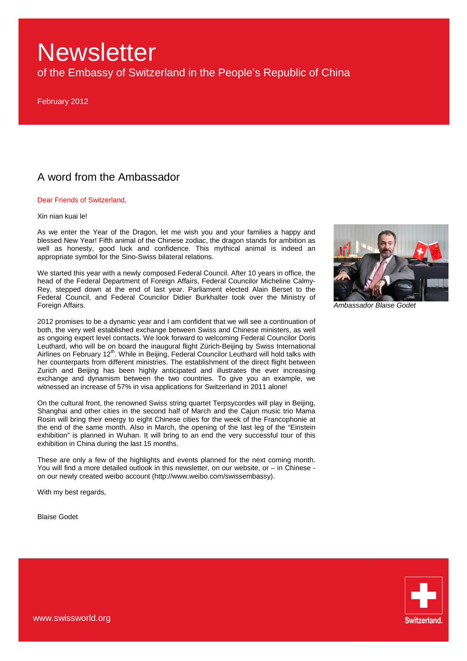of the Embassy of Switzerland in the People's Republic of China

February 2012

## A word from the Ambassador

#### Dear Friends of Switzerland,

#### Xin nian kuai le!

As we enter the Year of the Dragon, let me wish you and your families a happy and blessed New Year! Fifth animal of the Chinese zodiac, the dragon stands for ambition as well as honesty, good luck and confidence. This mythical animal is indeed an appropriate symbol for the Sino-Swiss bilateral relations.

We started this year with a newly composed Federal Council. After 10 years in office, the head of the Federal Department of Foreign Affairs, Federal Councilor Micheline Calmy-Rey, stepped down at the end of last year. Parliament elected Alain Berset to the Federal Council, and Federal Councilor Didier Burkhalter took over the Ministry of Foreign Affairs.

2012 promises to be a dynamic year and I am confident that we will see a continuation of both, the very well established exchange between Swiss and Chinese ministers, as well as ongoing expert level contacts. We look forward to welcoming Federal Councilor Doris Leuthard, who will be on board the inaugural flight Zürich-Beijing by Swiss International Airlines on February 12<sup>th</sup>. While in Beijing, Federal Councilor Leuthard will hold talks with her counterparts from different ministries. The establishment of the direct flight between Zurich and Beijing has been highly anticipated and illustrates the ever increasing exchange and dynamism between the two countries. To give you an example, we witnessed an increase of 57% in visa applications for Switzerland in 2011 alone!

On the cultural front, the renowned Swiss string quartet Terpsycordes will play in Beijing, Shanghai and other cities in the second half of March and the Cajun music trio Mama Rosin will bring their energy to eight Chinese cities for the week of the Francophonie at the end of the same month. Also in March, the opening of the last leg of the "Einstein exhibition" is planned in Wuhan. It will bring to an end the very successful tour of this exhibition in China during the last 15 months.

These are only a few of the highlights and events planned for the next coming month. You will find a more detailed outlook in this newsletter, on our website, or  $-$  in Chinese on our newly created weibo account (http://www.weibo.com/swissembassy).

With my best regards,

Blaise Godet



Ambassador Blaise Godet

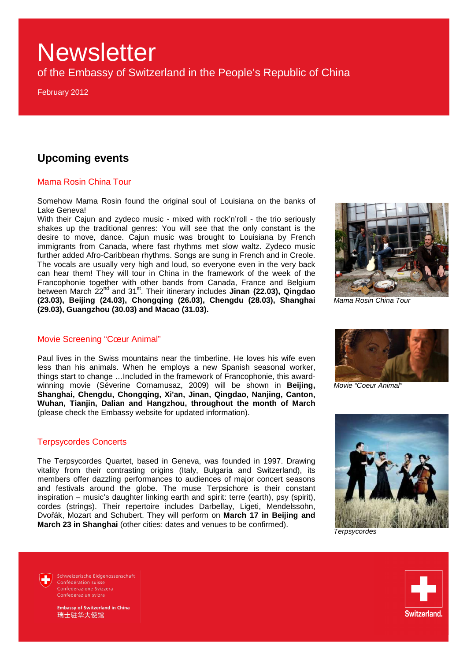of the Embassy of Switzerland in the People's Republic of China

February 2012

## **Upcoming events**

### Mama Rosin China Tour

Somehow Mama Rosin found the original soul of Louisiana on the banks of Lake Geneva!

With their Cajun and zydeco music - mixed with rock'n'roll - the trio seriously shakes up the traditional genres: You will see that the only constant is the desire to move, dance. Cajun music was brought to Louisiana by French immigrants from Canada, where fast rhythms met slow waltz. Zydeco music further added Afro-Caribbean rhythms. Songs are sung in French and in Creole. The vocals are usually very high and loud, so everyone even in the very back can hear them! They will tour in China in the framework of the week of the Francophonie together with other bands from Canada, France and Belgium between March 22<sup>nd</sup> and 31<sup>st</sup>. Their itinerary includes **Jinan (22.03), Qingdao (23.03), Beijing (24.03), Chongqing (26.03), Chengdu (28.03), Shanghai (29.03), Guangzhou (30.03) and Macao (31.03).** 

### Movie Screening "Cœur Animal"

Paul lives in the Swiss mountains near the timberline. He loves his wife even less than his animals. When he employs a new Spanish seasonal worker, things start to change …Included in the framework of Francophonie, this awardwinning movie (Séverine Cornamusaz, 2009) will be shown in **Beijing, Shanghai, Chengdu, Chongqing, Xi'an, Jinan, Qingdao, Nanjing, Canton, Wuhan, Tianjin, Dalian and Hangzhou, throughout the month of March**  (please check the Embassy website for updated information).

#### Terpsycordes Concerts

The Terpsycordes Quartet, based in Geneva, was founded in 1997. Drawing vitality from their contrasting origins (Italy, Bulgaria and Switzerland), its members offer dazzling performances to audiences of major concert seasons and festivals around the globe. The muse Terpsichore is their constant inspiration – music's daughter linking earth and spirit: terre (earth), psy (spirit), cordes (strings). Their repertoire includes Darbellay, Ligeti, Mendelssohn, Dvořák, Mozart and Schubert. They will perform on **March 17 in Beijing and March 23 in Shanghai** (other cities: dates and venues to be confirmed).



Mama Rosin China Tour



Movie "Coeur Animal"



**Terpsycordes** 



Schweizerische Fidgenossenschaft Confédération suisse Confederazione Svizzera Confederaziun svizra

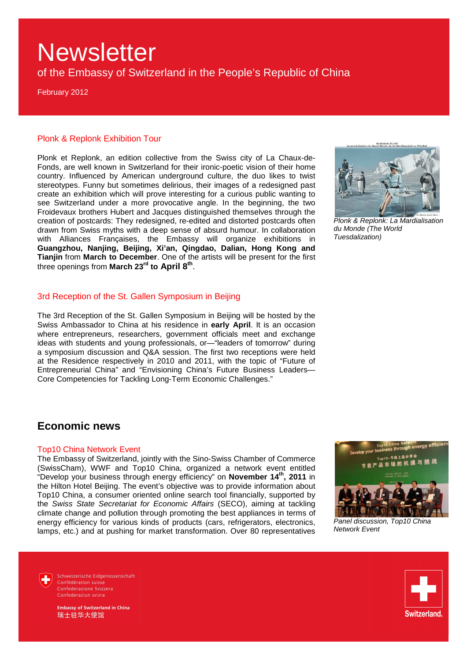of the Embassy of Switzerland in the People's Republic of China

February 2012

#### Plonk & Replonk Exhibition Tour

Plonk et Replonk, an edition collective from the Swiss city of La Chaux-de-Fonds, are well known in Switzerland for their ironic-poetic vision of their home country. Influenced by American underground culture, the duo likes to twist stereotypes. Funny but sometimes delirious, their images of a redesigned past create an exhibition which will prove interesting for a curious public wanting to see Switzerland under a more provocative angle. In the beginning, the two Froidevaux brothers Hubert and Jacques distinguished themselves through the creation of postcards: They redesigned, re-edited and distorted postcards often drawn from Swiss myths with a deep sense of absurd humour. In collaboration with Alliances Françaises, the Embassy will organize exhibitions in **Guangzhou, Nanjing, Beijing, Xi'an, Qingdao, Dalian, Hong Kong and Tianjin** from **March to December**. One of the artists will be present for the first three openings from **March 23rd to April 8th** .

#### 3rd Reception of the St. Gallen Symposium in Beijing

The 3rd Reception of the St. Gallen Symposium in Beijing will be hosted by the Swiss Ambassador to China at his residence in **early April**. It is an occasion where entrepreneurs, researchers, government officials meet and exchange ideas with students and young professionals, or—"leaders of tomorrow" during a symposium discussion and Q&A session. The first two receptions were held at the Residence respectively in 2010 and 2011, with the topic of "Future of Entrepreneurial China" and "Envisioning China's Future Business Leaders— Core Competencies for Tackling Long-Term Economic Challenges."



Plonk & Replonk: La Mardialisation du Monde (The World Tuesdalization)

### **Economic news**

#### Top10 China Network Event

The Embassy of Switzerland, jointly with the Sino-Swiss Chamber of Commerce (SwissCham), WWF and Top10 China, organized a network event entitled "Develop your business through energy efficiency" on **November 14th, 2011** in the Hilton Hotel Beijing. The event's objective was to provide information about Top10 China, a consumer oriented online search tool financially, supported by the Swiss State Secretariat for Economic Affairs (SECO), aiming at tackling climate change and pollution through promoting the best appliances in terms of energy efficiency for various kinds of products (cars, refrigerators, electronics, lamps, etc.) and at pushing for market transformation. Over 80 representatives



Panel discussion, Top10 China Network Event

Schweizerische Fidgenossenschaft Confédération suisse Confederazione Svizzera Confederaziun svizra



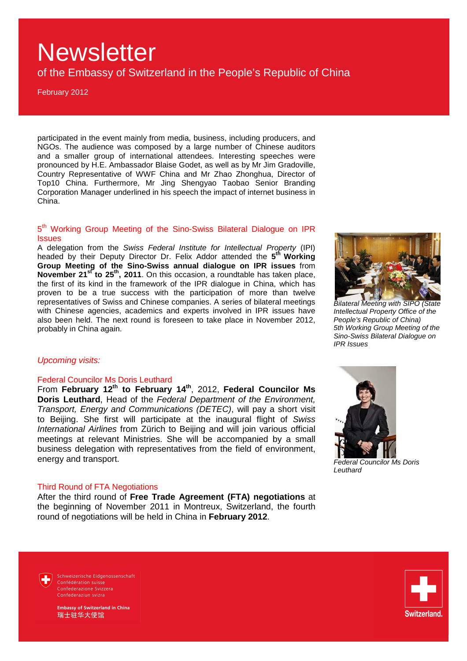of the Embassy of Switzerland in the People's Republic of China

February 2012

participated in the event mainly from media, business, including producers, and NGOs. The audience was composed by a large number of Chinese auditors and a smaller group of international attendees. Interesting speeches were pronounced by H.E. Ambassador Blaise Godet, as well as by Mr Jim Gradoville, Country Representative of WWF China and Mr Zhao Zhonghua, Director of Top10 China. Furthermore, Mr Jing Shengyao Taobao Senior Branding Corporation Manager underlined in his speech the impact of internet business in China.

### 5<sup>th</sup> Working Group Meeting of the Sino-Swiss Bilateral Dialogue on IPR Issues

A delegation from the Swiss Federal Institute for Intellectual Property (IPI) headed by their Deputy Director Dr. Felix Addor attended the **5 th Working Group Meeting of the Sino-Swiss annual dialogue on IPR issues** from **November 21st to 25th, 2011**. On this occasion, a roundtable has taken place, the first of its kind in the framework of the IPR dialogue in China, which has proven to be a true success with the participation of more than twelve representatives of Swiss and Chinese companies. A series of bilateral meetings with Chinese agencies, academics and experts involved in IPR issues have also been held. The next round is foreseen to take place in November 2012, probably in China again.



Bilateral Meeting with SIPO (State Intellectual Property Office of the People's Republic of China) 5th Working Group Meeting of the Sino-Swiss Bilateral Dialogue on IPR Issues

#### Upcoming visits:

#### Federal Councilor Ms Doris Leuthard

From **February 12th to February 14th**, 2012, **Federal Councilor Ms Doris Leuthard**, Head of the Federal Department of the Environment, Transport, Energy and Communications (DETEC), will pay a short visit to Beijing. She first will participate at the inaugural flight of Swiss International Airlines from Zürich to Beijing and will join various official meetings at relevant Ministries. She will be accompanied by a small business delegation with representatives from the field of environment, energy and transport.

#### Third Round of FTA Negotiations

After the third round of **Free Trade Agreement (FTA) negotiations** at the beginning of November 2011 in Montreux, Switzerland, the fourth round of negotiations will be held in China in **February 2012**.



Federal Councilor Ms Doris Leuthard

Schweizerische Fidgenossenschaft Confédération suisse Confederazione Svizzera Confederaziun svizra

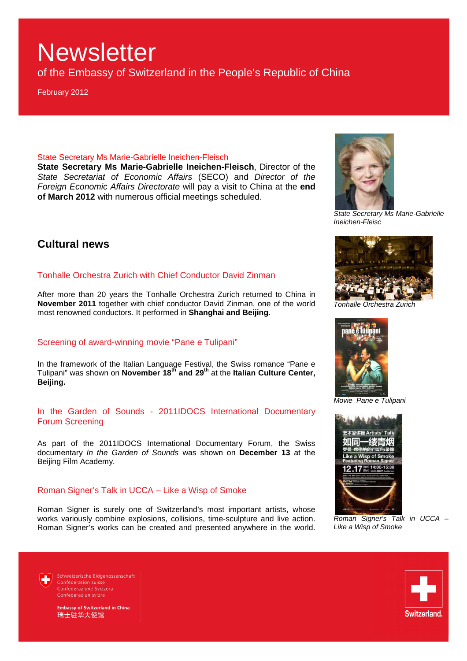of the Embassy of Switzerland in the People's Republic of China

February 2012

#### State Secretary Ms Marie-Gabrielle Ineichen-Fleisch

**State Secretary Ms Marie-Gabrielle Ineichen-Fleisch**, Director of the State Secretariat of Economic Affairs (SECO) and Director of the Foreign Economic Affairs Directorate will pay a visit to China at the **end of March 2012** with numerous official meetings scheduled.

## **Cultural news**

### Tonhalle Orchestra Zurich with Chief Conductor David Zinman

After more than 20 years the Tonhalle Orchestra Zurich returned to China in **November 2011** together with chief conductor David Zinman, one of the world most renowned conductors. It performed in **Shanghai and Beijing**.

#### Screening of award-winning movie "Pane e Tulipani"

In the framework of the Italian Language Festival, the Swiss romance "Pane e Tulipani" was shown on **November 18th and 29th** at the **Italian Culture Center, Beijing.** 

#### In the Garden of Sounds - 2011IDOCS International Documentary Forum Screening

As part of the 2011IDOCS International Documentary Forum, the Swiss documentary In the Garden of Sounds was shown on **December 13** at the Beijing Film Academy.

#### Roman Signer's Talk in UCCA – Like a Wisp of Smoke

Roman Signer is surely one of Switzerland's most important artists, whose works variously combine explosions, collisions, time-sculpture and live action. Roman Signer's works can be created and presented anywhere in the world.



State Secretary Ms Marie-Gabrielle Ineichen-Fleisc



Tonhalle Orchestra Zurich



Movie Pane e Tulipani



Roman Signer's Talk in UCCA – Like a Wisp of Smoke



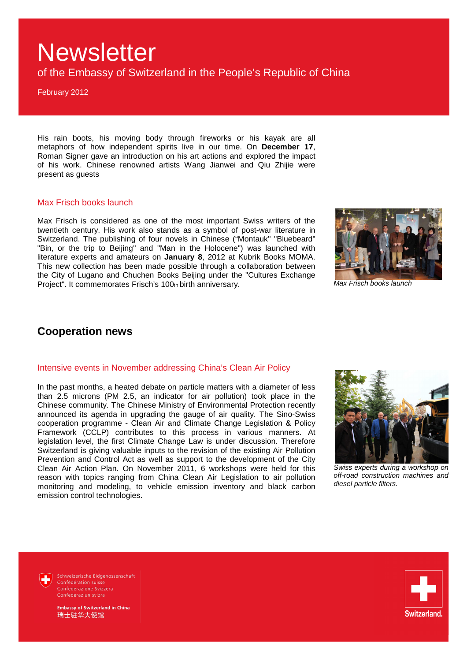of the Embassy of Switzerland in the People's Republic of China

February 2012

His rain boots, his moving body through fireworks or his kayak are all metaphors of how independent spirits live in our time. On **December 17**, Roman Signer gave an introduction on his art actions and explored the impact of his work. Chinese renowned artists Wang Jianwei and Qiu Zhijie were present as guests

#### Max Frisch books launch

Max Frisch is considered as one of the most important Swiss writers of the twentieth century. His work also stands as a symbol of post-war literature in Switzerland. The publishing of four novels in Chinese ("Montauk" "Bluebeard" "Bin, or the trip to Beijing" and "Man in the Holocene") was launched with literature experts and amateurs on **January 8**, 2012 at Kubrik Books MOMA. This new collection has been made possible through a collaboration between the City of Lugano and Chuchen Books Beijing under the "Cultures Exchange Project". It commemorates Frisch's 100th birth anniversary.



Max Frisch books launch

### **Cooperation news**

#### Intensive events in November addressing China's Clean Air Policy

In the past months, a heated debate on particle matters with a diameter of less than 2.5 microns (PM 2.5, an indicator for air pollution) took place in the Chinese community. The Chinese Ministry of Environmental Protection recently announced its agenda in upgrading the gauge of air quality. The Sino-Swiss cooperation programme - Clean Air and Climate Change Legislation & Policy Framework (CCLP) contributes to this process in various manners. At legislation level, the first Climate Change Law is under discussion. Therefore Switzerland is giving valuable inputs to the revision of the existing Air Pollution Prevention and Control Act as well as support to the development of the City Clean Air Action Plan. On November 2011, 6 workshops were held for this reason with topics ranging from China Clean Air Legislation to air pollution monitoring and modeling, to vehicle emission inventory and black carbon emission control technologies.



Swiss experts during a workshop on off-road construction machines and diesel particle filters.

Schweizerische Eidgenossenschaft Confédération suisse Confederazione Svizzera Confederaziun svizra

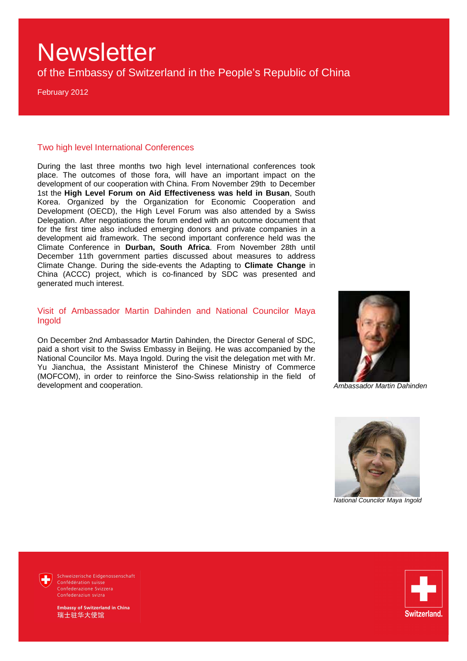of the Embassy of Switzerland in the People's Republic of China

February 2012

#### Two high level International Conferences

During the last three months two high level international conferences took place. The outcomes of those fora, will have an important impact on the development of our cooperation with China. From November 29th to December 1st the **High Level Forum on Aid Effectiveness was held in Busan**, South Korea. Organized by the Organization for Economic Cooperation and Development (OECD), the High Level Forum was also attended by a Swiss Delegation. After negotiations the forum ended with an outcome document that for the first time also included emerging donors and private companies in a development aid framework. The second important conference held was the Climate Conference in **Durban, South Africa**. From November 28th until December 11th government parties discussed about measures to address Climate Change. During the side-events the Adapting to **Climate Change** in China (ACCC) project, which is co-financed by SDC was presented and generated much interest.

Visit of Ambassador Martin Dahinden and National Councilor Maya Ingold

On December 2nd Ambassador Martin Dahinden, the Director General of SDC, paid a short visit to the Swiss Embassy in Beijing. He was accompanied by the National Councilor Ms. Maya Ingold. During the visit the delegation met with Mr. Yu Jianchua, the Assistant Ministerof the Chinese Ministry of Commerce (MOFCOM), in order to reinforce the Sino-Swiss relationship in the field of development and cooperation. Ambassador Martin Dahinden





National Councilor Maya Ingold



Schweizerische Eidgenossenschaft Confédération suisse Confederazione Svizzera Confederaziun svizra

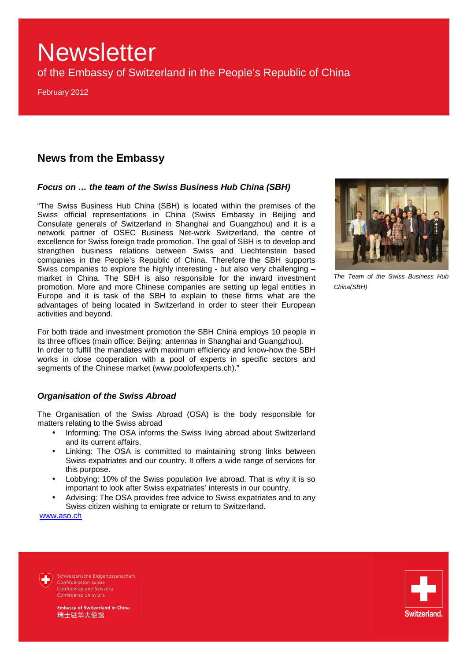of the Embassy of Switzerland in the People's Republic of China

February 2012

### **News from the Embassy**

#### **Focus on … the team of the Swiss Business Hub China (SBH)**

"The Swiss Business Hub China (SBH) is located within the premises of the Swiss official representations in China (Swiss Embassy in Beijing and Consulate generals of Switzerland in Shanghai and Guangzhou) and it is a network partner of OSEC Business Net-work Switzerland, the centre of excellence for Swiss foreign trade promotion. The goal of SBH is to develop and strengthen business relations between Swiss and Liechtenstein based companies in the People's Republic of China. Therefore the SBH supports Swiss companies to explore the highly interesting - but also very challenging – market in China. The SBH is also responsible for the inward investment promotion. More and more Chinese companies are setting up legal entities in Europe and it is task of the SBH to explain to these firms what are the advantages of being located in Switzerland in order to steer their European activities and beyond.

For both trade and investment promotion the SBH China employs 10 people in its three offices (main office: Beijing; antennas in Shanghai and Guangzhou). In order to fulfill the mandates with maximum efficiency and know-how the SBH works in close cooperation with a pool of experts in specific sectors and segments of the Chinese market (www.poolofexperts.ch)."

#### **Organisation of the Swiss Abroad**

The Organisation of the Swiss Abroad (OSA) is the body responsible for matters relating to the Swiss abroad

- Informing: The OSA informs the Swiss living abroad about Switzerland and its current affairs.
- Linking: The OSA is committed to maintaining strong links between Swiss expatriates and our country. It offers a wide range of services for this purpose.
- Lobbying: 10% of the Swiss population live abroad. That is why it is so important to look after Swiss expatriates' interests in our country.
- Advising: The OSA provides free advice to Swiss expatriates and to any Swiss citizen wishing to emigrate or return to Switzerland.

www.aso.ch



The Team of the Swiss Business Hub China(SBH)



Schweizerische Fidgenossenschaft Confédération suisse Confederazione Svizzera Confederaziun svizra